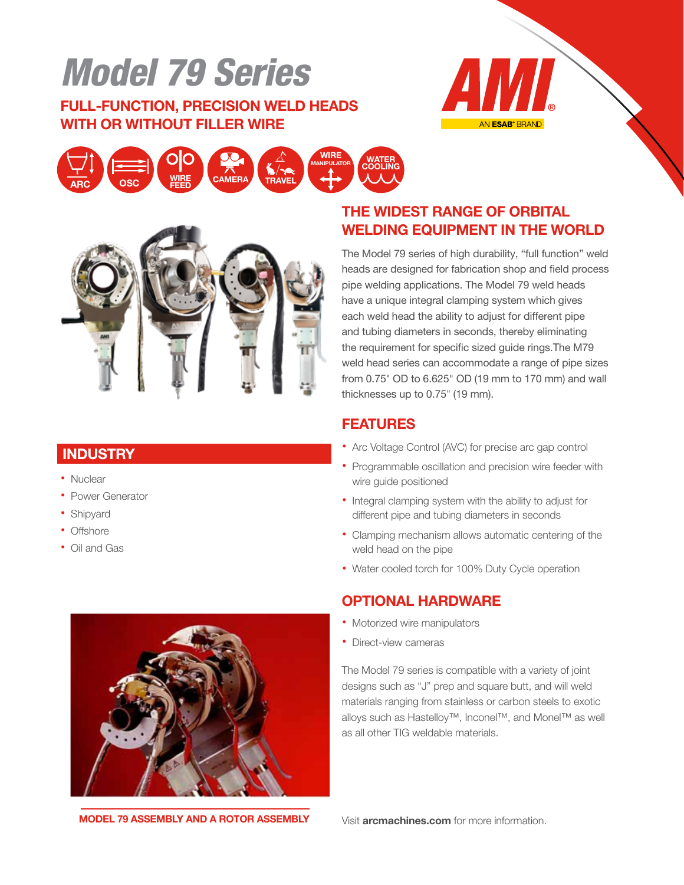## Model 79 Series

### FULL-FUNCTION, PRECISION WELD HEADS WITH OR WITHOUT FILLER WIRE







#### **INDUSTRY**

- Nuclear
- Power Generator
- Shipyard
- Offshore
- Oil and Gas

### THE WIDEST RANGE OF ORBITAL WELDING EQUIPMENT IN THE WORLD

The Model 79 series of high durability, "full function" weld heads are designed for fabrication shop and field process pipe welding applications. The Model 79 weld heads have a unique integral clamping system which gives each weld head the ability to adjust for different pipe and tubing diameters in seconds, thereby eliminating the requirement for specific sized guide rings.The M79 weld head series can accommodate a range of pipe sizes from 0.75" OD to 6.625" OD (19 mm to 170 mm) and wall thicknesses up to 0.75" (19 mm).

#### FEATURES

- Arc Voltage Control (AVC) for precise arc gap control
- Programmable oscillation and precision wire feeder with wire guide positioned
- Integral clamping system with the ability to adjust for different pipe and tubing diameters in seconds
- Clamping mechanism allows automatic centering of the weld head on the pipe
- Water cooled torch for 100% Duty Cycle operation

#### OPTIONAL HARDWARE

- Motorized wire manipulators
- Direct-view cameras

The Model 79 series is compatible with a variety of joint designs such as "J" prep and square butt, and will weld materials ranging from stainless or carbon steels to exotic alloys such as Hastelloy™, Inconel™, and Monel™ as well as all other TIG weldable materials.



MODEL 79 ASSEMBLY AND A ROTOR ASSEMBLY

Visit arcmachines.com for more information.